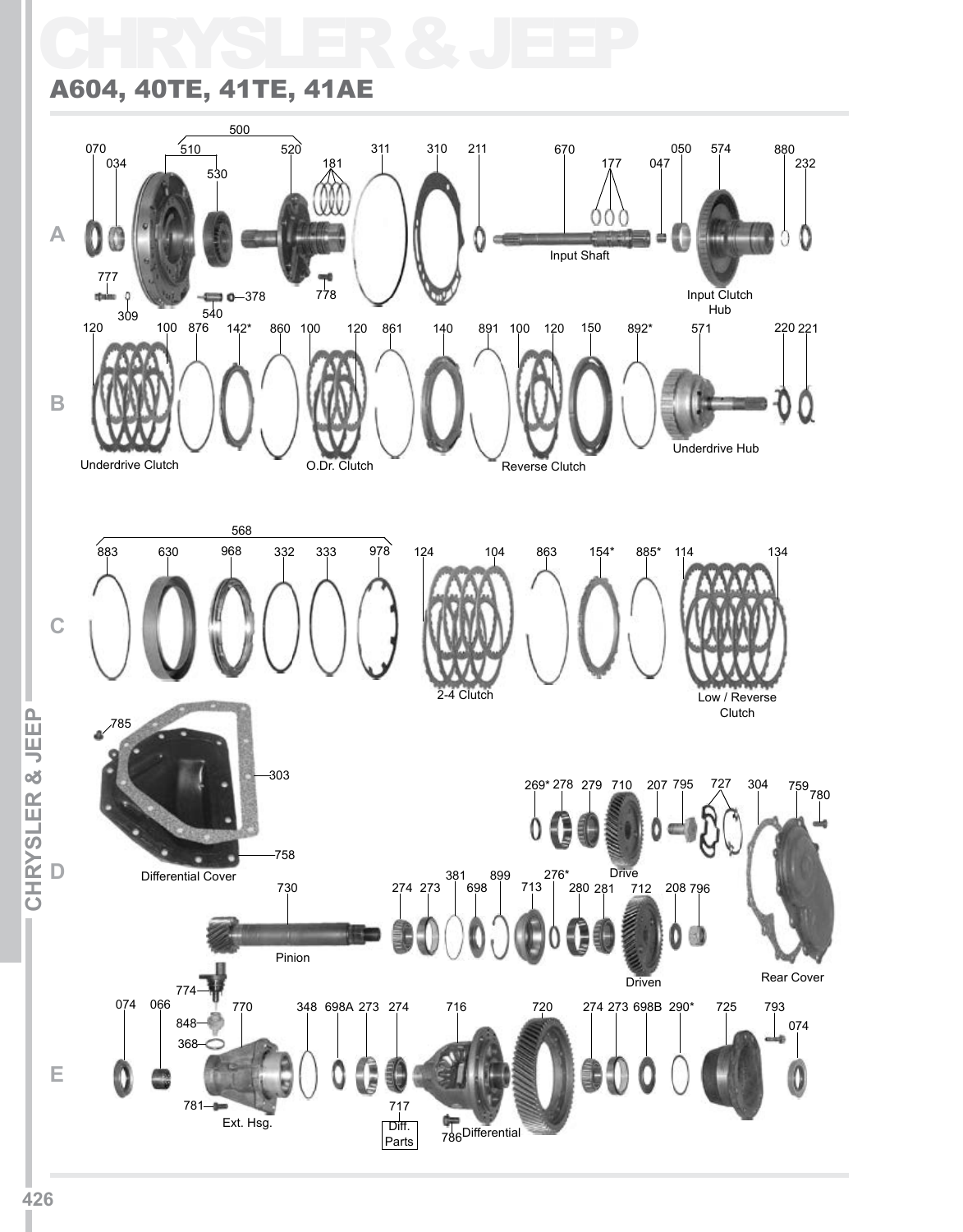# CHRYSLER & JEEP

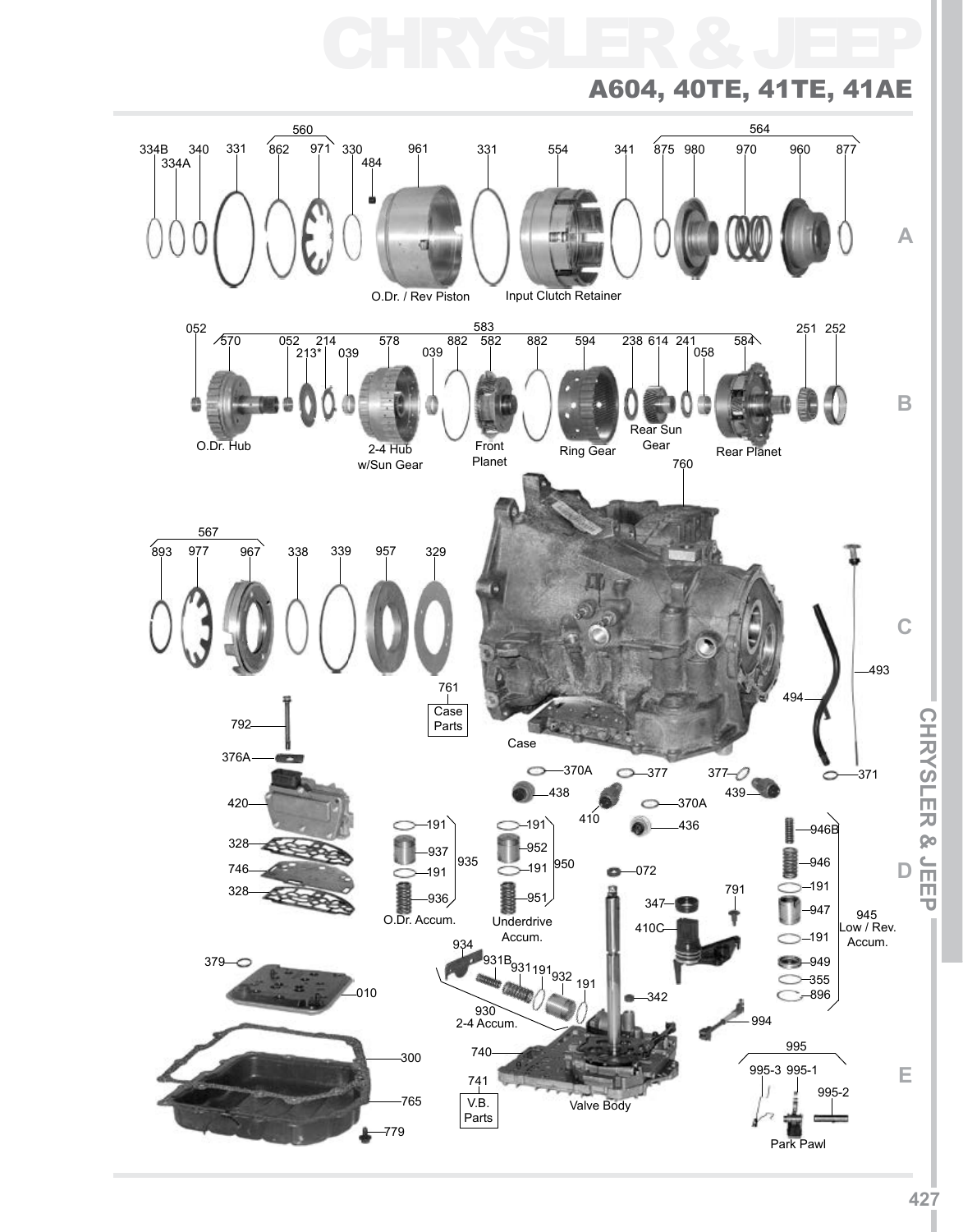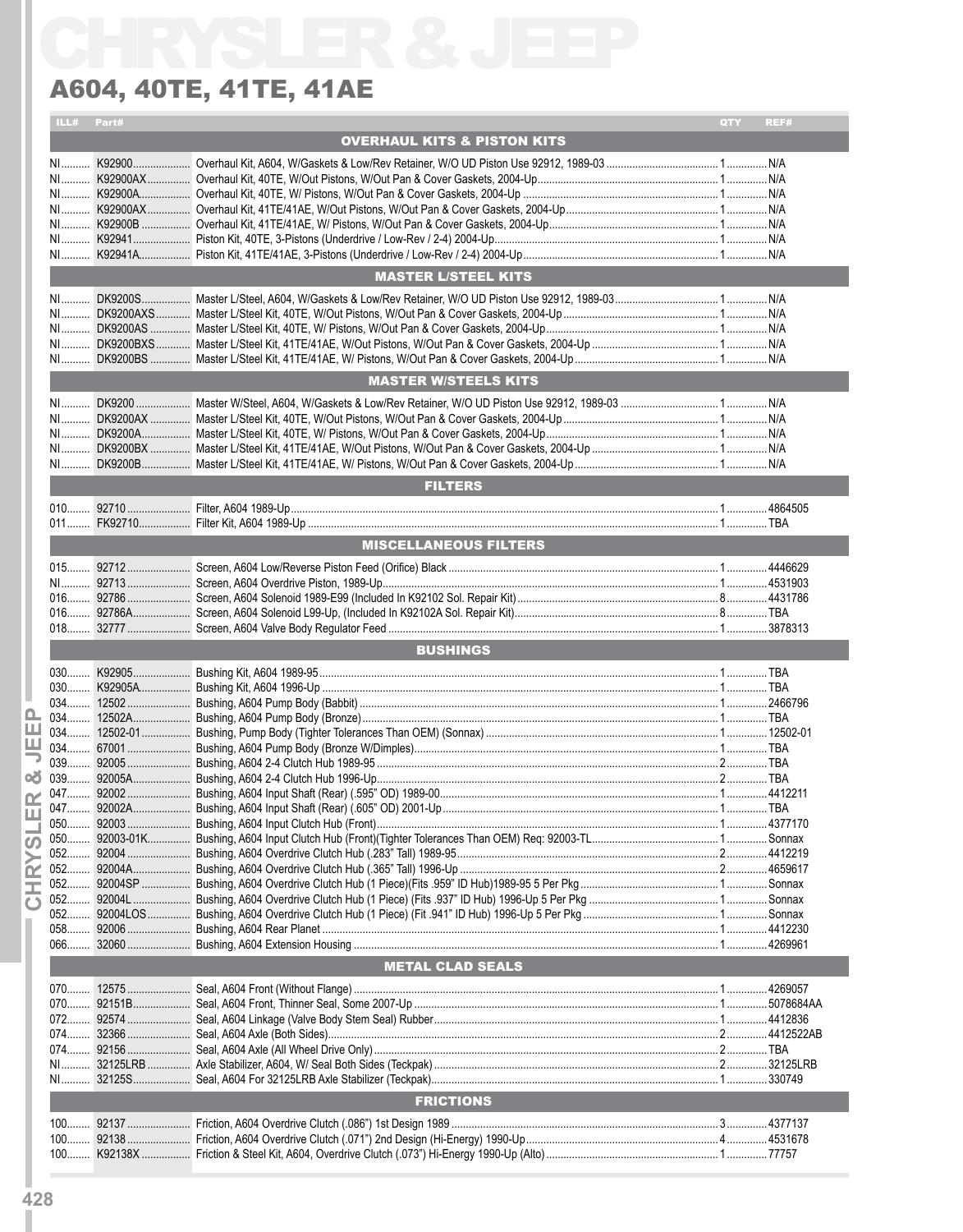|      |              | A604, 40TE, 41TE, 41AE                 |     |       |
|------|--------------|----------------------------------------|-----|-------|
|      | ILL# Part#   |                                        | QTY | REF#  |
|      |              | <b>OVERHAUL KITS &amp; PISTON KITS</b> |     |       |
|      |              |                                        |     |       |
|      |              |                                        |     |       |
|      |              |                                        |     |       |
|      |              |                                        |     |       |
|      |              |                                        |     |       |
|      |              |                                        |     |       |
|      |              | <b>MASTER L/STEEL KITS</b>             |     |       |
|      |              |                                        |     |       |
|      |              |                                        |     |       |
|      |              |                                        |     |       |
|      |              |                                        |     |       |
|      |              |                                        |     |       |
|      |              | <b>MASTER W/STEELS KITS</b>            |     |       |
|      |              |                                        |     |       |
|      |              |                                        |     |       |
|      |              |                                        |     |       |
|      |              |                                        |     |       |
|      |              | <b>FILTERS</b>                         |     |       |
|      |              |                                        |     |       |
|      |              |                                        |     |       |
|      |              | <b>MISCELLANEOUS FILTERS</b>           |     |       |
|      |              |                                        |     |       |
|      |              |                                        |     |       |
|      |              |                                        |     |       |
|      |              |                                        |     |       |
|      |              |                                        |     |       |
|      |              | <b>BUSHINGS</b>                        |     |       |
|      |              |                                        |     |       |
|      |              |                                        |     |       |
| 034. | 12502A.<br>. | Bushing, A604 Pump Body (Bronze)       |     | . TBA |
|      |              |                                        |     |       |
|      |              |                                        |     |       |
|      |              |                                        |     |       |
|      |              |                                        |     |       |
|      |              |                                        |     |       |
|      |              |                                        |     |       |
|      |              |                                        |     |       |
|      |              |                                        |     |       |
|      |              |                                        |     |       |
|      |              |                                        |     |       |
|      |              |                                        |     |       |
|      |              |                                        |     |       |
|      |              |                                        |     |       |
|      |              | <b>METAL CLAD SEALS</b>                |     |       |
|      |              |                                        |     |       |
|      |              |                                        |     |       |
|      |              |                                        |     |       |
|      |              |                                        |     |       |
|      |              |                                        |     |       |
|      |              |                                        |     |       |
|      |              | <b>FRICTIONS</b>                       |     |       |
|      |              |                                        |     |       |
|      |              |                                        |     |       |
|      |              |                                        |     |       |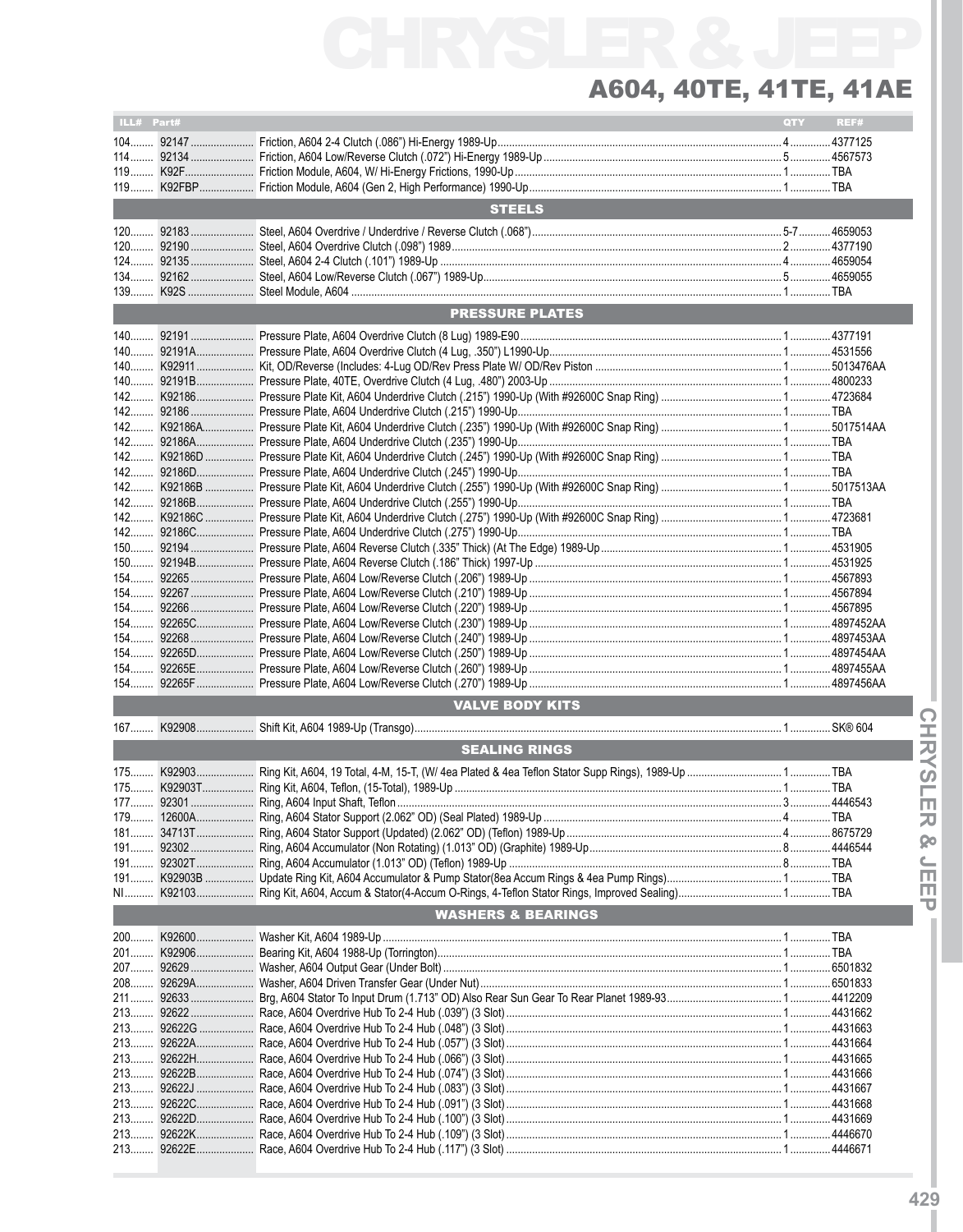| ILL# Part# |                               | <b>QTY</b> | REF# |
|------------|-------------------------------|------------|------|
|            |                               |            |      |
|            |                               |            |      |
|            |                               |            |      |
|            |                               |            |      |
|            |                               |            |      |
|            | <b>STEELS</b>                 |            |      |
|            |                               |            |      |
|            |                               |            |      |
|            |                               |            |      |
|            |                               |            |      |
|            |                               |            |      |
|            |                               |            |      |
|            |                               |            |      |
|            | <b>PRESSURE PLATES</b>        |            |      |
|            |                               |            |      |
|            |                               |            |      |
|            |                               |            |      |
|            |                               |            |      |
|            |                               |            |      |
|            |                               |            |      |
|            |                               |            |      |
|            |                               |            |      |
|            |                               |            |      |
|            |                               |            |      |
|            |                               |            |      |
|            |                               |            |      |
|            |                               |            |      |
|            |                               |            |      |
|            |                               |            |      |
|            |                               |            |      |
|            |                               |            |      |
|            |                               |            |      |
|            |                               |            |      |
|            |                               |            |      |
|            |                               |            |      |
|            |                               |            |      |
|            |                               |            |      |
|            |                               |            |      |
|            |                               |            |      |
|            |                               |            |      |
|            |                               |            |      |
|            |                               |            |      |
|            | <b>VALVE BODY KITS</b>        |            |      |
|            |                               |            |      |
| $167$      |                               |            |      |
|            | <b>SEALING RINGS</b>          |            |      |
| $175$      |                               |            |      |
|            |                               |            |      |
|            |                               |            |      |
|            |                               |            |      |
|            |                               |            |      |
|            |                               |            |      |
|            |                               |            |      |
|            |                               |            |      |
|            |                               |            |      |
|            |                               |            |      |
|            |                               |            |      |
|            | <b>WASHERS &amp; BEARINGS</b> |            |      |
|            |                               |            |      |
|            |                               |            |      |
|            |                               |            |      |
|            |                               |            |      |
|            |                               |            |      |
|            |                               |            |      |
|            |                               |            |      |
|            |                               |            |      |
|            |                               |            |      |
|            |                               |            |      |
|            |                               |            |      |
|            |                               |            |      |
| $213$      |                               |            |      |
|            |                               |            |      |
|            |                               |            |      |
|            |                               |            |      |
|            |                               |            |      |
|            |                               |            |      |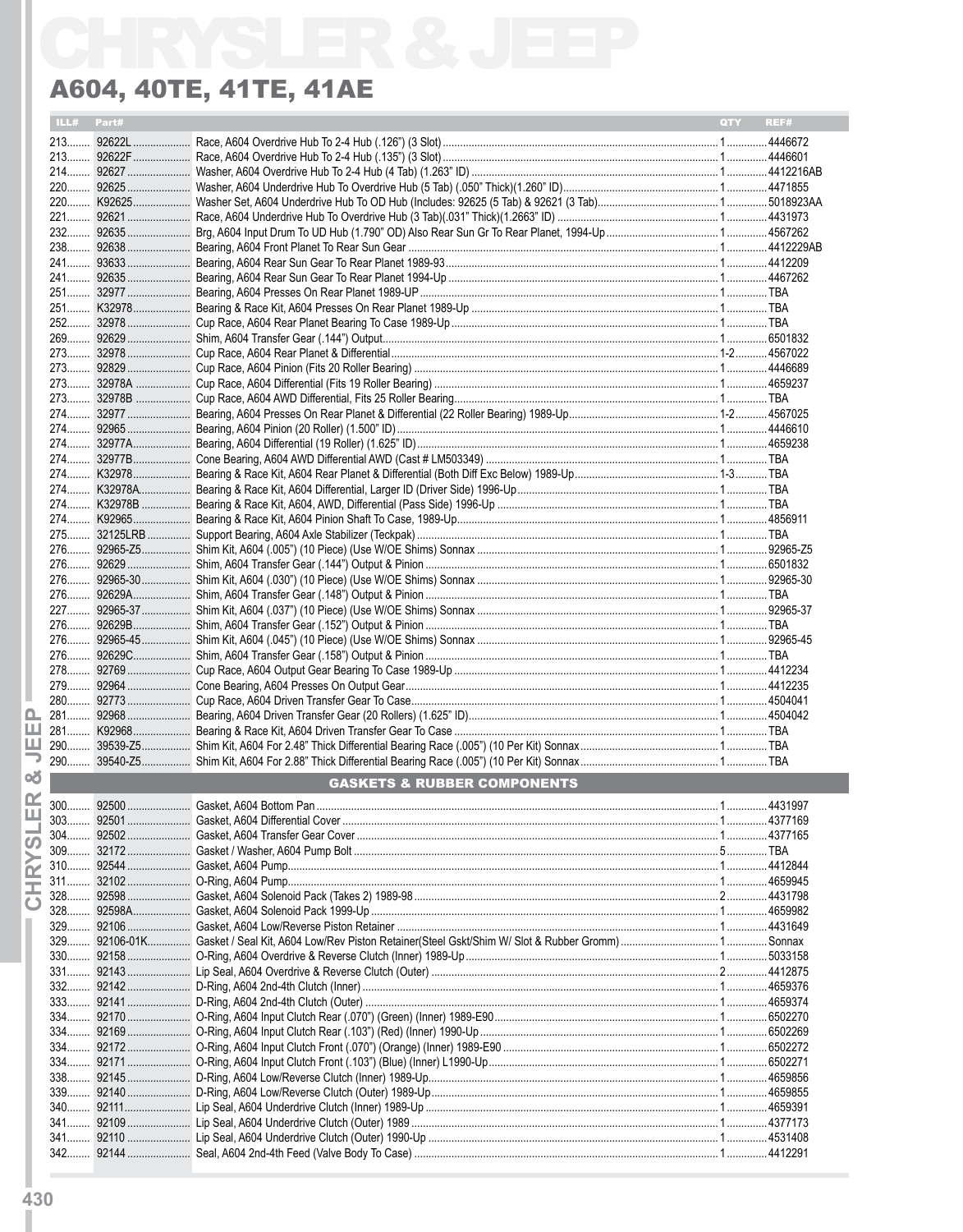| ILL#         | Part# |                                        | <b>QTY</b> | REF# |
|--------------|-------|----------------------------------------|------------|------|
|              |       |                                        |            |      |
|              |       |                                        |            |      |
|              |       |                                        |            |      |
|              |       |                                        |            |      |
|              |       |                                        |            |      |
|              |       |                                        |            |      |
|              |       |                                        |            |      |
|              |       |                                        |            |      |
|              |       |                                        |            |      |
|              |       |                                        |            |      |
|              |       |                                        |            |      |
|              |       |                                        |            |      |
|              |       |                                        |            |      |
|              |       |                                        |            |      |
|              |       |                                        |            |      |
|              |       |                                        |            |      |
|              |       |                                        |            |      |
|              |       |                                        |            |      |
|              |       |                                        |            |      |
|              |       |                                        |            |      |
|              |       |                                        |            |      |
|              |       |                                        |            |      |
|              |       |                                        |            |      |
|              |       |                                        |            |      |
|              |       |                                        |            |      |
|              |       |                                        |            |      |
|              |       |                                        |            |      |
|              |       |                                        |            |      |
|              |       |                                        |            |      |
|              |       |                                        |            |      |
|              |       |                                        |            |      |
|              |       |                                        |            |      |
|              |       |                                        |            |      |
|              |       |                                        |            |      |
|              |       |                                        |            |      |
|              |       |                                        |            |      |
|              |       |                                        |            |      |
|              |       |                                        |            |      |
|              |       |                                        |            |      |
|              |       | <b>GASKETS &amp; RUBBER COMPONENTS</b> |            |      |
|              |       |                                        |            |      |
|              |       |                                        |            |      |
|              |       |                                        |            |      |
|              |       |                                        |            |      |
| $311$        |       |                                        |            |      |
| $328$        |       |                                        |            |      |
|              |       |                                        |            |      |
|              |       |                                        |            |      |
|              |       |                                        |            |      |
| $330$        |       |                                        |            |      |
|              |       |                                        |            |      |
|              |       |                                        |            |      |
|              |       |                                        |            |      |
|              |       |                                        |            |      |
| 334<br>$334$ |       |                                        |            |      |
|              |       |                                        |            |      |
|              |       |                                        |            |      |
|              |       |                                        |            |      |
| 340          |       |                                        |            |      |
| $341$        |       |                                        |            |      |
|              |       |                                        |            |      |
|              |       |                                        |            |      |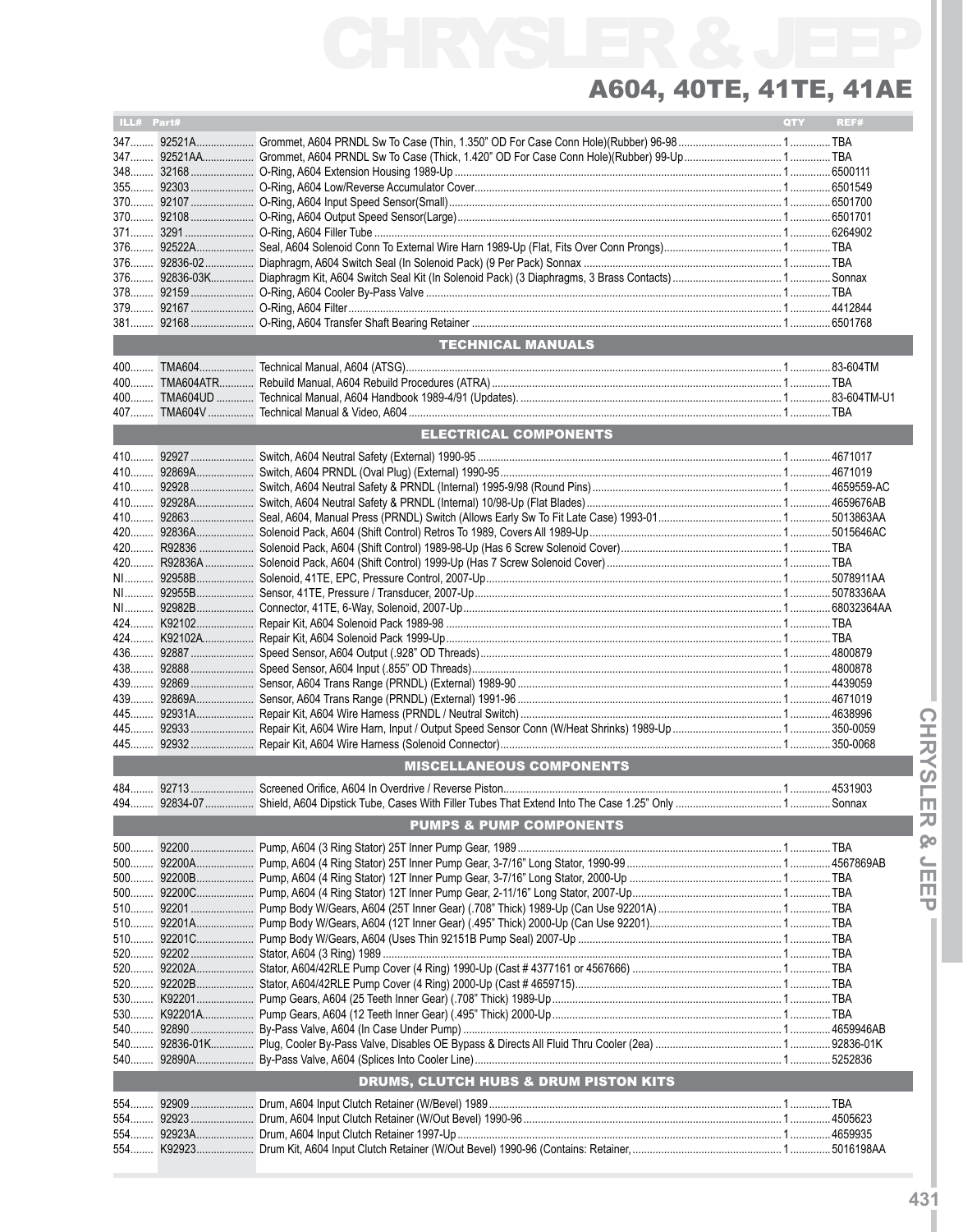| ILL# Part# |                                                  | <b>QTY</b> | REF# |
|------------|--------------------------------------------------|------------|------|
|            |                                                  |            |      |
|            |                                                  |            |      |
|            |                                                  |            |      |
|            |                                                  |            |      |
|            |                                                  |            |      |
|            |                                                  |            |      |
|            |                                                  |            |      |
|            |                                                  |            |      |
|            |                                                  |            |      |
|            |                                                  |            |      |
|            |                                                  |            |      |
|            |                                                  |            |      |
|            |                                                  |            |      |
|            | <b>TECHNICAL MANUALS</b>                         |            |      |
|            |                                                  |            |      |
| $400$      |                                                  |            |      |
| $400$      |                                                  |            |      |
| 407        |                                                  |            |      |
|            | <b>ELECTRICAL COMPONENTS</b>                     |            |      |
|            |                                                  |            |      |
| 410        |                                                  |            |      |
|            |                                                  |            |      |
|            |                                                  |            |      |
|            |                                                  |            |      |
|            |                                                  |            |      |
|            |                                                  |            |      |
|            |                                                  |            |      |
|            |                                                  |            |      |
|            |                                                  |            |      |
|            |                                                  |            |      |
|            |                                                  |            |      |
|            |                                                  |            |      |
|            |                                                  |            |      |
|            |                                                  |            |      |
| 439        |                                                  |            |      |
| 445        |                                                  |            |      |
|            |                                                  |            |      |
|            |                                                  |            |      |
|            | <b>MISCELLANEOUS COMPONENTS</b>                  |            |      |
|            |                                                  |            |      |
|            |                                                  |            |      |
|            | <b>PUMPS &amp; PUMP COMPONENTS</b>               |            |      |
| $500$      |                                                  |            |      |
| 500        |                                                  |            |      |
|            |                                                  |            |      |
|            |                                                  |            |      |
|            |                                                  |            |      |
|            |                                                  |            |      |
|            |                                                  |            |      |
|            |                                                  |            |      |
|            |                                                  |            |      |
|            |                                                  |            |      |
|            |                                                  |            |      |
|            |                                                  |            |      |
|            |                                                  |            |      |
| 540        |                                                  |            |      |
|            |                                                  |            |      |
|            | <b>DRUMS, CLUTCH HUBS &amp; DRUM PISTON KITS</b> |            |      |
| 554        |                                                  |            |      |
| 554        |                                                  |            |      |
| 554        |                                                  |            |      |
| 554        |                                                  |            |      |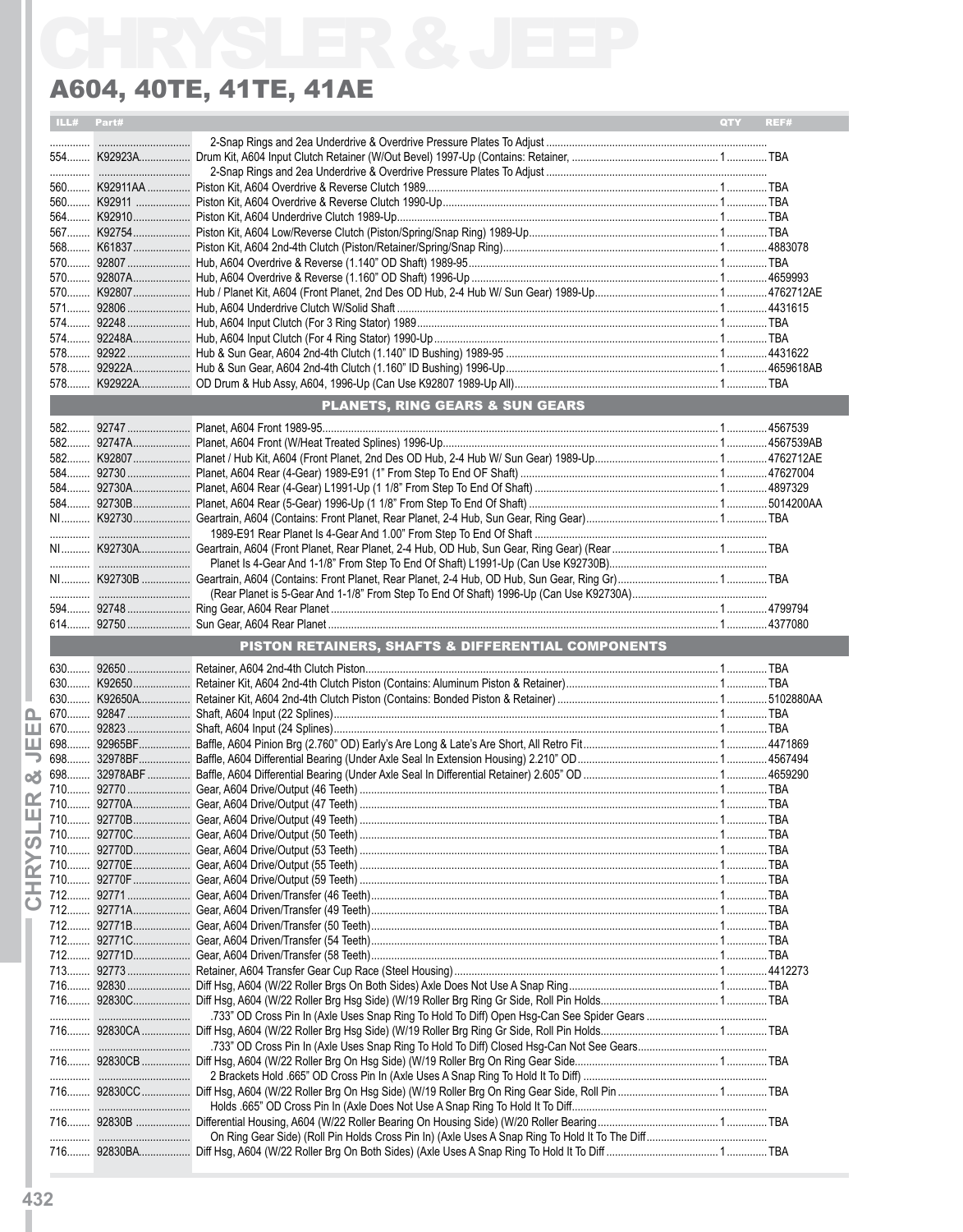|            | A604, 40TE, 41TE, 41AE                             |     |      |
|------------|----------------------------------------------------|-----|------|
| ILL# Part# |                                                    | QTY | REF# |
|            |                                                    |     |      |
|            |                                                    |     |      |
|            |                                                    |     |      |
|            |                                                    |     |      |
|            |                                                    |     |      |
|            |                                                    |     |      |
|            |                                                    |     |      |
|            |                                                    |     |      |
|            |                                                    |     |      |
|            |                                                    |     |      |
|            |                                                    |     |      |
|            |                                                    |     |      |
|            |                                                    |     |      |
|            |                                                    |     |      |
|            |                                                    |     |      |
|            |                                                    |     |      |
|            | <b>PLANETS, RING GEARS &amp; SUN GEARS</b>         |     |      |
|            |                                                    |     |      |
|            |                                                    |     |      |
|            |                                                    |     |      |
|            |                                                    |     |      |
|            |                                                    |     |      |
|            |                                                    |     |      |
|            |                                                    |     |      |
|            |                                                    |     |      |
|            |                                                    |     |      |
|            |                                                    |     |      |
|            |                                                    |     |      |
|            |                                                    |     |      |
|            | PISTON RETAINERS, SHAFTS & DIFFERENTIAL COMPONENTS |     |      |
|            |                                                    |     |      |
|            |                                                    |     |      |
|            |                                                    |     |      |
|            |                                                    |     |      |
|            |                                                    |     |      |
|            |                                                    |     |      |
|            |                                                    |     |      |
|            |                                                    |     |      |
|            |                                                    |     |      |
|            |                                                    |     |      |
|            |                                                    |     |      |
|            |                                                    |     |      |
|            |                                                    |     |      |
|            |                                                    |     |      |
|            |                                                    |     |      |
|            |                                                    |     |      |
|            |                                                    |     |      |
|            |                                                    |     |      |
|            |                                                    |     |      |
|            |                                                    |     |      |
|            |                                                    |     |      |
|            |                                                    |     |      |
|            |                                                    |     |      |
|            |                                                    |     |      |
|            |                                                    |     |      |
|            |                                                    |     |      |
|            |                                                    |     |      |
|            |                                                    |     |      |
|            |                                                    |     |      |
|            |                                                    |     |      |
|            |                                                    |     |      |
|            |                                                    |     |      |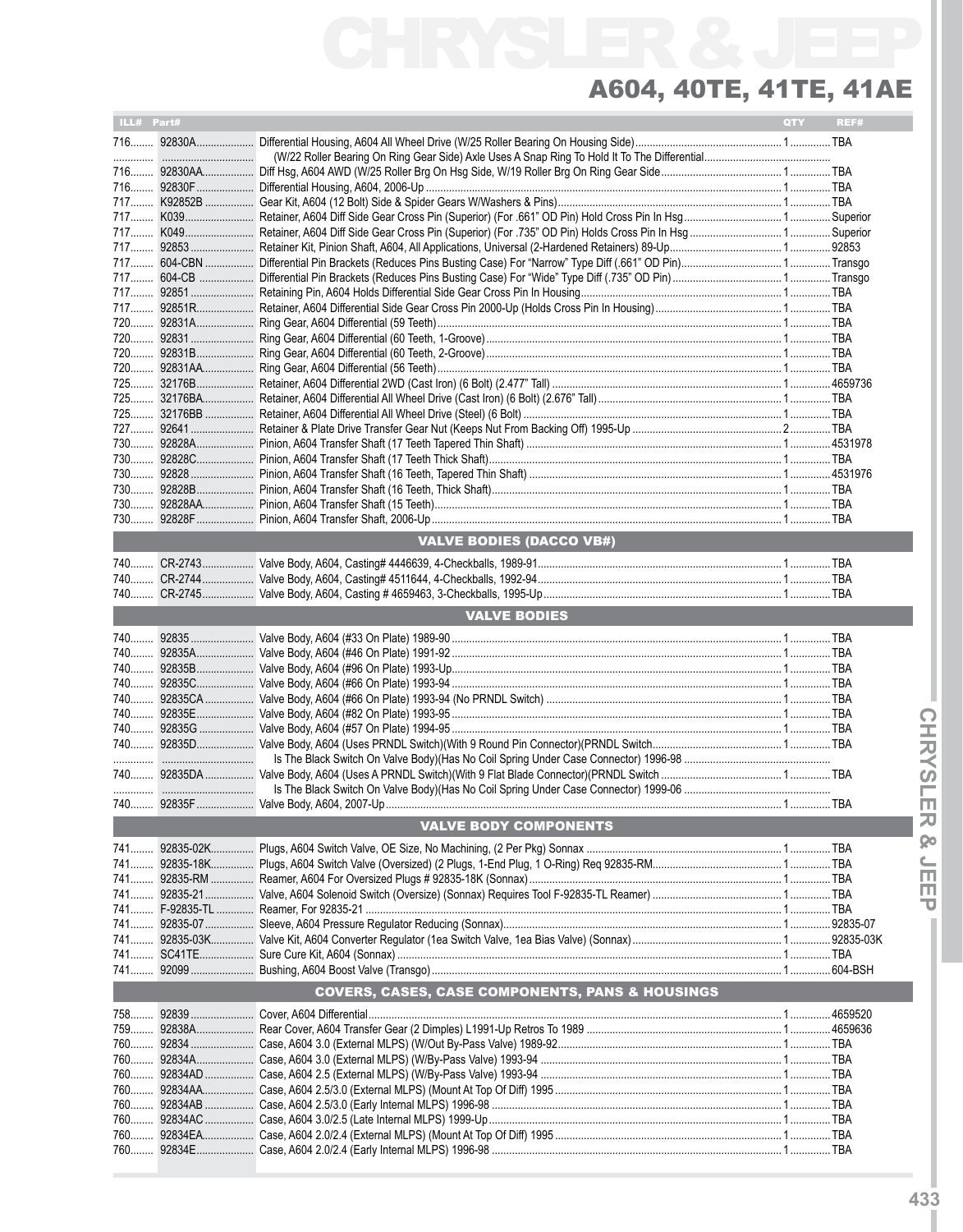| ILL# Part#                   |  |                                                            | <b>QTY</b> | REF# |  |  |
|------------------------------|--|------------------------------------------------------------|------------|------|--|--|
|                              |  |                                                            |            |      |  |  |
|                              |  |                                                            |            |      |  |  |
|                              |  |                                                            |            |      |  |  |
|                              |  |                                                            |            |      |  |  |
|                              |  |                                                            |            |      |  |  |
|                              |  |                                                            |            |      |  |  |
|                              |  |                                                            |            |      |  |  |
|                              |  |                                                            |            |      |  |  |
|                              |  |                                                            |            |      |  |  |
|                              |  |                                                            |            |      |  |  |
|                              |  |                                                            |            |      |  |  |
|                              |  |                                                            |            |      |  |  |
|                              |  |                                                            |            |      |  |  |
|                              |  |                                                            |            |      |  |  |
|                              |  |                                                            |            |      |  |  |
|                              |  |                                                            |            |      |  |  |
|                              |  |                                                            |            |      |  |  |
|                              |  |                                                            |            |      |  |  |
|                              |  |                                                            |            |      |  |  |
|                              |  |                                                            |            |      |  |  |
|                              |  |                                                            |            |      |  |  |
|                              |  |                                                            |            |      |  |  |
|                              |  |                                                            |            |      |  |  |
| 730                          |  |                                                            |            |      |  |  |
|                              |  |                                                            |            |      |  |  |
|                              |  |                                                            |            |      |  |  |
|                              |  |                                                            |            |      |  |  |
|                              |  | <b>VALVE BODIES (DACCO VB#)</b>                            |            |      |  |  |
|                              |  |                                                            |            |      |  |  |
|                              |  |                                                            |            |      |  |  |
|                              |  |                                                            |            |      |  |  |
|                              |  |                                                            |            |      |  |  |
|                              |  | <b>VALVE BODIES</b>                                        |            |      |  |  |
|                              |  |                                                            |            |      |  |  |
|                              |  |                                                            |            |      |  |  |
|                              |  |                                                            |            |      |  |  |
|                              |  |                                                            |            |      |  |  |
|                              |  |                                                            |            |      |  |  |
|                              |  |                                                            |            |      |  |  |
|                              |  |                                                            |            |      |  |  |
|                              |  |                                                            |            |      |  |  |
|                              |  |                                                            |            |      |  |  |
|                              |  |                                                            |            |      |  |  |
|                              |  |                                                            |            |      |  |  |
|                              |  |                                                            |            |      |  |  |
|                              |  |                                                            |            |      |  |  |
| <b>VALVE BODY COMPONENTS</b> |  |                                                            |            |      |  |  |
|                              |  |                                                            |            |      |  |  |
|                              |  |                                                            |            |      |  |  |
|                              |  |                                                            |            |      |  |  |
|                              |  |                                                            |            |      |  |  |
|                              |  |                                                            |            |      |  |  |
|                              |  |                                                            |            |      |  |  |
|                              |  |                                                            |            |      |  |  |
|                              |  |                                                            |            |      |  |  |
|                              |  |                                                            |            |      |  |  |
|                              |  | <b>COVERS, CASES, CASE COMPONENTS, PANS &amp; HOUSINGS</b> |            |      |  |  |
|                              |  |                                                            |            |      |  |  |
|                              |  |                                                            |            |      |  |  |
|                              |  |                                                            |            |      |  |  |
|                              |  |                                                            |            |      |  |  |
|                              |  |                                                            |            |      |  |  |
|                              |  |                                                            |            |      |  |  |
|                              |  |                                                            |            |      |  |  |
|                              |  |                                                            |            |      |  |  |
|                              |  |                                                            |            |      |  |  |
|                              |  |                                                            |            |      |  |  |
|                              |  |                                                            |            |      |  |  |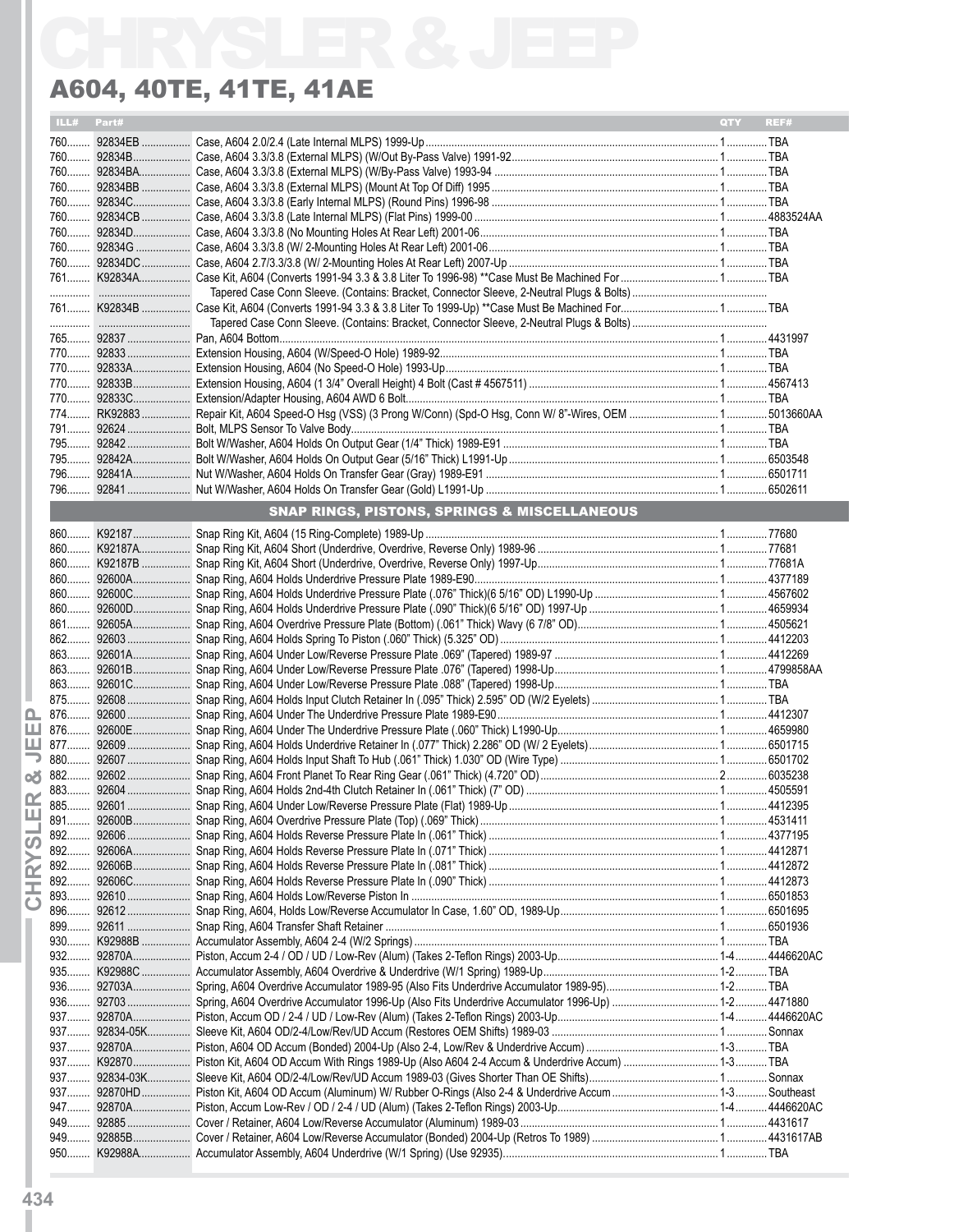| ILL# Part#<br><b>OTY</b><br><b>SNAP RINGS, PISTONS, SPRINGS &amp; MISCELLANEOUS</b><br>892 | REF# |
|--------------------------------------------------------------------------------------------|------|
|                                                                                            |      |
|                                                                                            |      |
|                                                                                            |      |
|                                                                                            |      |
|                                                                                            |      |
|                                                                                            |      |
|                                                                                            |      |
|                                                                                            |      |
|                                                                                            |      |
|                                                                                            |      |
|                                                                                            |      |
|                                                                                            |      |
|                                                                                            |      |
|                                                                                            |      |
|                                                                                            |      |
|                                                                                            |      |
|                                                                                            |      |
|                                                                                            |      |
|                                                                                            |      |
|                                                                                            |      |
|                                                                                            |      |
|                                                                                            |      |
|                                                                                            |      |
|                                                                                            |      |
|                                                                                            |      |
|                                                                                            |      |
|                                                                                            |      |
|                                                                                            |      |
|                                                                                            |      |
|                                                                                            |      |
|                                                                                            |      |
|                                                                                            |      |
|                                                                                            |      |
|                                                                                            |      |
|                                                                                            |      |
|                                                                                            |      |
|                                                                                            |      |
|                                                                                            |      |
|                                                                                            |      |
|                                                                                            |      |
|                                                                                            |      |
|                                                                                            |      |
|                                                                                            |      |
|                                                                                            |      |
|                                                                                            |      |
|                                                                                            |      |
|                                                                                            |      |
|                                                                                            |      |
|                                                                                            |      |
|                                                                                            |      |
|                                                                                            |      |
|                                                                                            |      |
|                                                                                            |      |
|                                                                                            |      |
|                                                                                            |      |
|                                                                                            |      |
|                                                                                            |      |
|                                                                                            |      |
|                                                                                            |      |
|                                                                                            |      |
|                                                                                            |      |
|                                                                                            |      |
|                                                                                            |      |
|                                                                                            |      |
|                                                                                            |      |